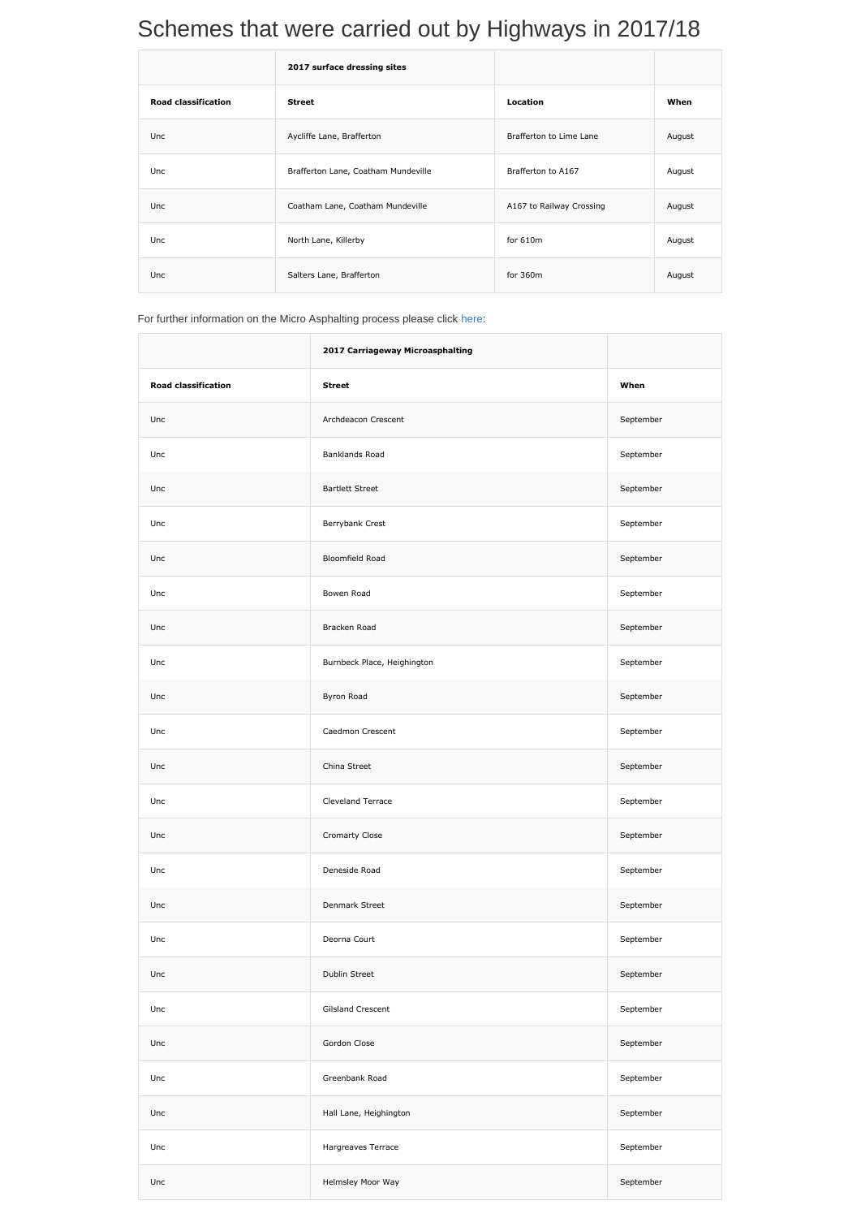## Schemes that were carried out by Highways in 2017/18

|                            | 2017 surface dressing sites         |                          |        |
|----------------------------|-------------------------------------|--------------------------|--------|
| <b>Road classification</b> | <b>Street</b>                       | <b>Location</b>          | When   |
| Unc                        | Aycliffe Lane, Brafferton           | Brafferton to Lime Lane  | August |
| Unc                        | Brafferton Lane, Coatham Mundeville | Brafferton to A167       | August |
| <b>Unc</b>                 | Coatham Lane, Coatham Mundeville    | A167 to Railway Crossing | August |
| Unc                        | North Lane, Killerby                | for $610m$               | August |
| Unc                        | Salters Lane, Brafferton            | for $360m$               | August |

For further information on the Micro Asphalting process please click [here:](http://www.darlington.gov.uk/media/1466204/Doc-6-Slurry_Surfacing_in_Highways_Magazine_November_2013.pdf)

|                            | 2017 Carriageway Microasphalting |           |
|----------------------------|----------------------------------|-----------|
| <b>Road classification</b> | <b>Street</b>                    | When      |
| Unc                        | Archdeacon Crescent              | September |
| Unc                        | <b>Banklands Road</b>            | September |
| Unc                        | <b>Bartlett Street</b>           | September |
| Unc                        | Berrybank Crest                  | September |
| Unc                        | Bloomfield Road                  | September |
| Unc                        | Bowen Road                       | September |
| Unc                        | Bracken Road                     | September |
| Unc                        | Burnbeck Place, Heighington      | September |
| Unc                        | Byron Road                       | September |
| Unc                        | Caedmon Crescent                 | September |
| Unc                        | China Street                     | September |
| Unc                        | Cleveland Terrace                | September |
| Unc                        | Cromarty Close                   | September |
| Unc                        | Deneside Road                    | September |
| Unc                        | Denmark Street                   | September |
| Unc                        | Deorna Court                     | September |
| Unc                        | Dublin Street                    | September |
| Unc                        | <b>Gilsland Crescent</b>         | September |
| Unc                        | Gordon Close                     | September |
| Unc                        | Greenbank Road                   | September |
| Unc                        | Hall Lane, Heighington           | September |
| Unc                        | Hargreaves Terrace               | September |
| Unc                        | Helmsley Moor Way                | September |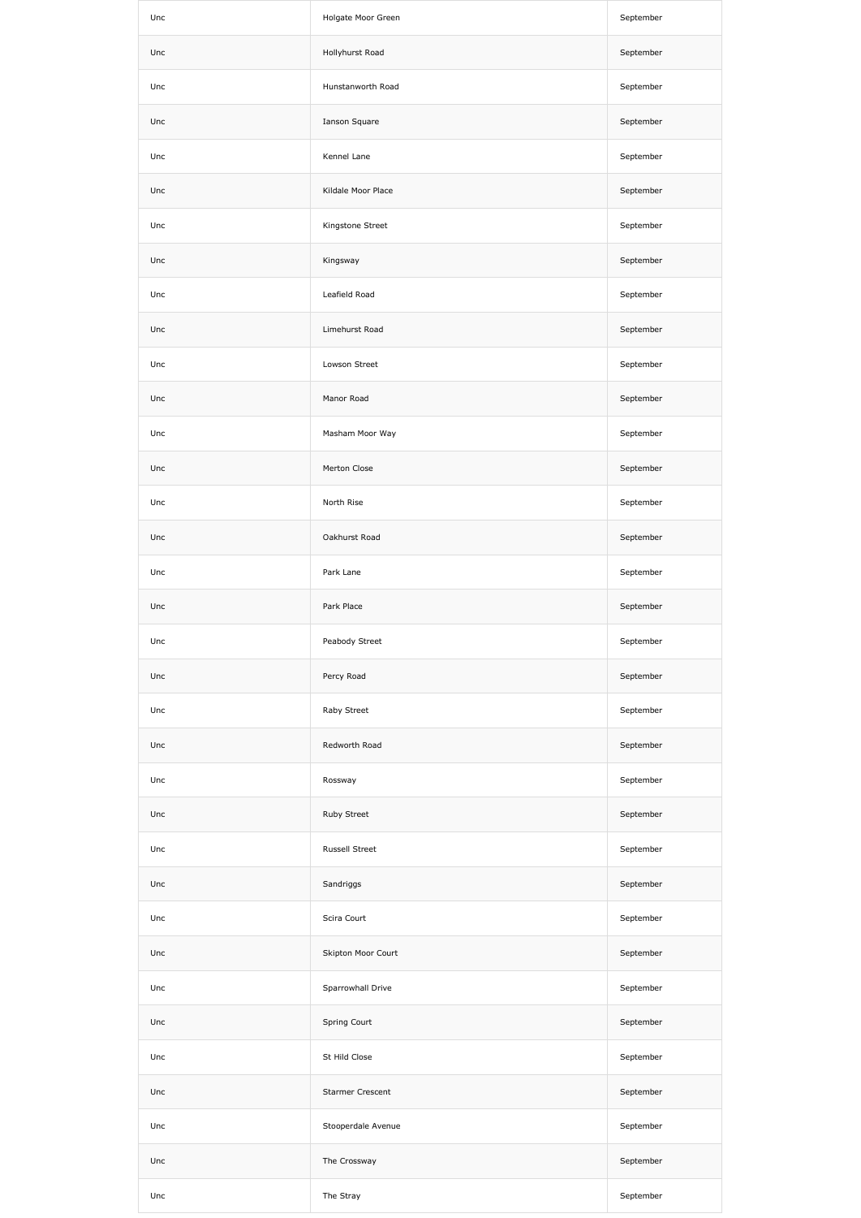| Unc | Holgate Moor Green | September |
|-----|--------------------|-----------|
| Unc | Hollyhurst Road    | September |
| Unc | Hunstanworth Road  | September |
| Unc | Ianson Square      | September |
| Unc | Kennel Lane        | September |
| Unc | Kildale Moor Place | September |
| Unc | Kingstone Street   | September |
| Unc | Kingsway           | September |
| Unc | Leafield Road      | September |
| Unc | Limehurst Road     | September |
| Unc | Lowson Street      | September |
| Unc | Manor Road         | September |
| Unc | Masham Moor Way    | September |
| Unc | Merton Close       | September |
| Unc | North Rise         | September |
| Unc | Oakhurst Road      | September |
| Unc | Park Lane          | September |
| Unc | Park Place         | September |
| Unc | Peabody Street     | September |
| Unc | Percy Road         | September |
| Unc | Raby Street        | September |
| Unc | Redworth Road      | September |
| Unc | Rossway            | September |
| Unc | Ruby Street        | September |
| Unc | Russell Street     | September |
| Unc | Sandriggs          | September |
| Unc | Scira Court        | September |
| Unc | Skipton Moor Court | September |
| Unc | Sparrowhall Drive  | September |
| Unc | Spring Court       | September |
| Unc | St Hild Close      | September |
| Unc | Starmer Crescent   | September |
| Unc | Stooperdale Avenue | September |
| Unc | The Crossway       | September |
| Unc | The Stray          | September |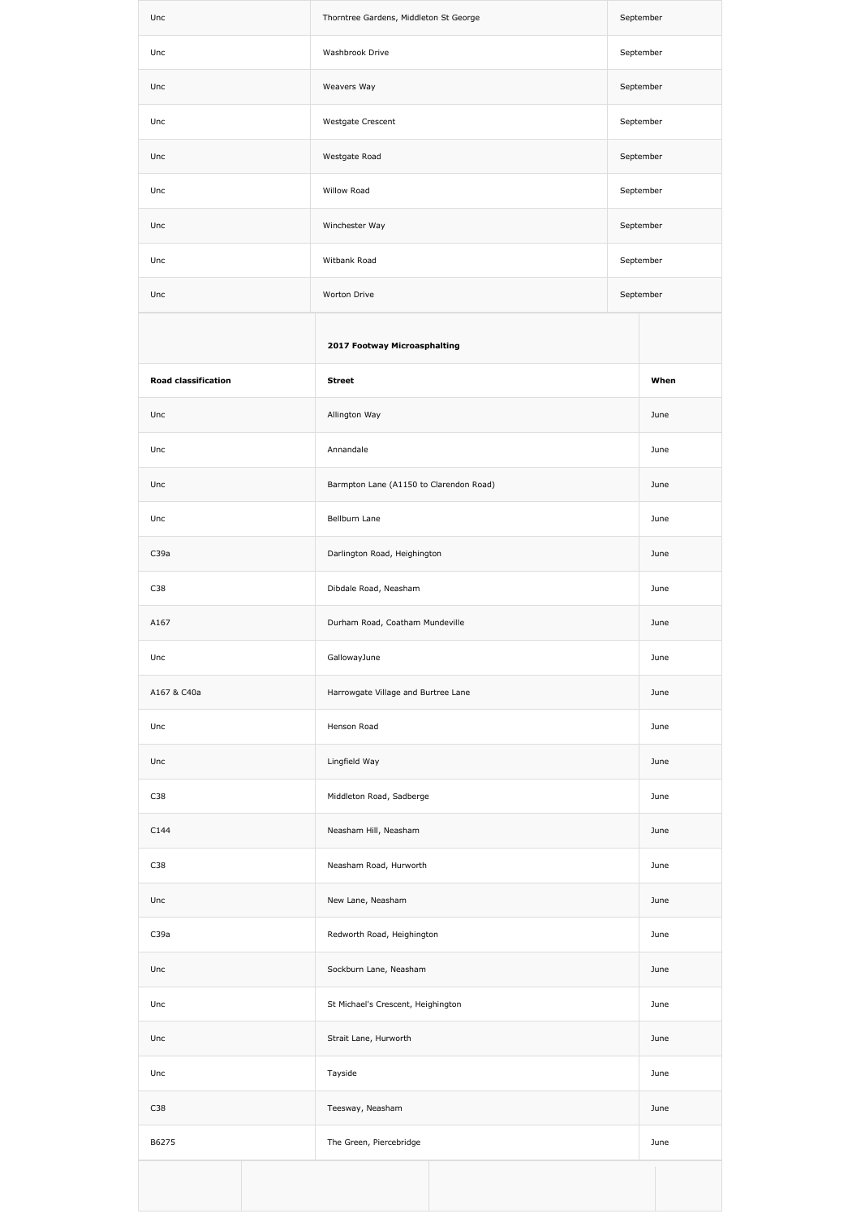| Unc                        | Thorntree Gardens, Middleton St George  | September |      |
|----------------------------|-----------------------------------------|-----------|------|
| Unc                        | Washbrook Drive                         | September |      |
| Unc                        | Weavers Way                             | September |      |
| Unc                        | Westgate Crescent                       | September |      |
| Unc                        | Westgate Road                           | September |      |
| Unc                        | Willow Road                             | September |      |
| Unc                        | Winchester Way                          | September |      |
| Unc                        | Witbank Road                            | September |      |
| Unc                        | Worton Drive                            | September |      |
|                            | 2017 Footway Microasphalting            |           |      |
| <b>Road classification</b> | <b>Street</b>                           |           | When |
| Unc                        | Allington Way                           |           | June |
| Unc                        | Annandale                               |           | June |
| Unc                        | Barmpton Lane (A1150 to Clarendon Road) |           | June |
| Unc                        | Bellburn Lane                           |           | June |
| C39a                       | Darlington Road, Heighington            |           | June |
| C38                        | Dibdale Road, Neasham                   |           | June |
| A167                       | Durham Road, Coatham Mundeville         |           | June |
| Unc                        | GallowayJune                            |           | June |
| A167 & C40a                | Harrowgate Village and Burtree Lane     |           | June |
| Unc                        | Henson Road                             |           | June |
| Unc                        | Lingfield Way                           |           | June |
| C38                        | Middleton Road, Sadberge                |           | June |
| C144                       | Neasham Hill, Neasham                   |           | June |
| C38                        | Neasham Road, Hurworth                  |           | June |
| Unc                        | New Lane, Neasham                       |           | June |
| C39a                       | Redworth Road, Heighington              |           | June |
| Unc                        | Sockburn Lane, Neasham                  |           | June |
| Unc                        | St Michael's Crescent, Heighington      |           | June |
| Unc                        | Strait Lane, Hurworth                   |           | June |
| Unc                        | Tayside                                 |           | June |
| C38                        | Teesway, Neasham                        |           | June |
| B6275                      | The Green, Piercebridge                 |           | June |
|                            |                                         |           |      |